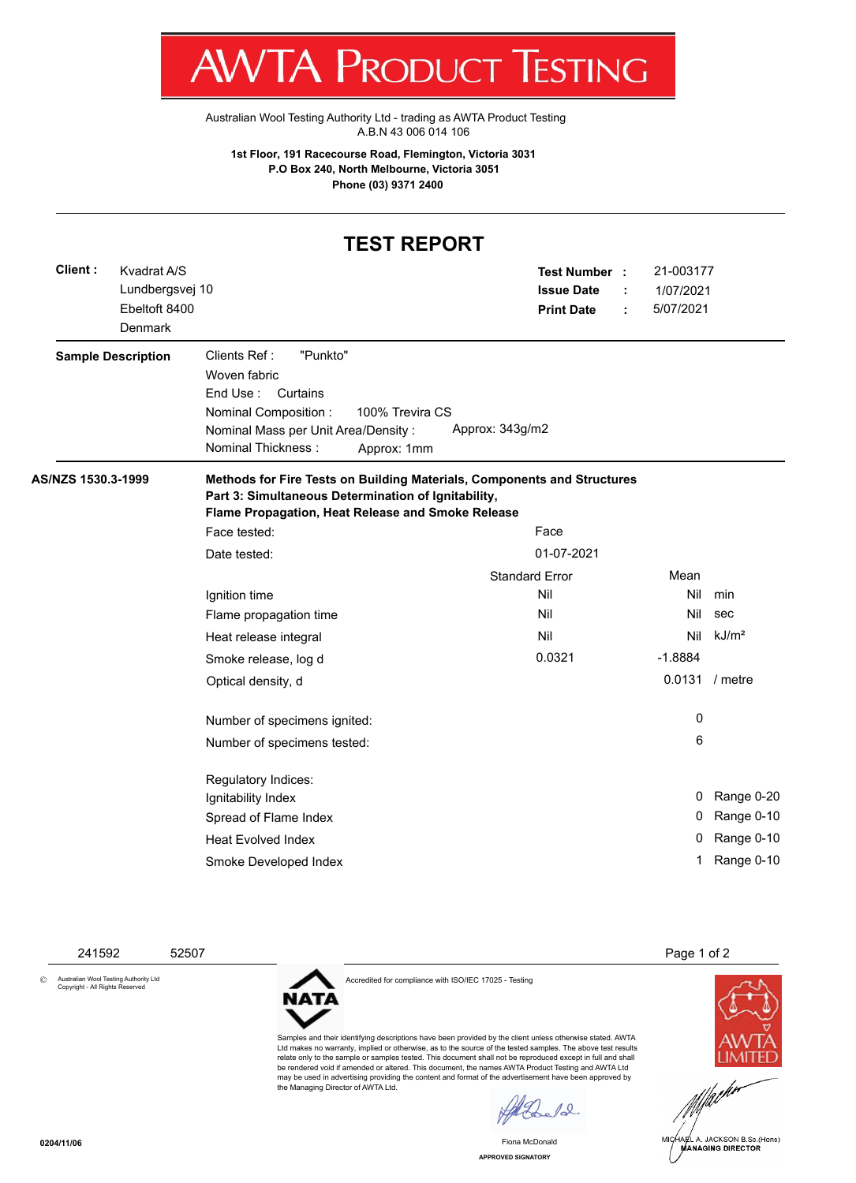T WV I/VI RUDUCT IESHING

[Australian Wool Testing Authority Ltd - trading as AWTA Product Testing](http://www.awtaproducttesting.com.au/) A.B.N 43 006 014 106

**1st Floor, 191 Racecourse Road, Flemington, Victoria 3031 P.O Box 240, North Melbourne, Victoria 3051 Phone (03) 9371 2400**

## **TEST REPORT**

| Client :           | Kvadrat A/S<br>Lundbergsvej 10<br>Ebeltoft 8400<br>Denmark |                                                                                                                                                                                                 | Test Number :<br><b>Issue Date</b><br><b>Print Date</b> | 21-003177<br>1/07/2021<br>5/07/2021 |                   |
|--------------------|------------------------------------------------------------|-------------------------------------------------------------------------------------------------------------------------------------------------------------------------------------------------|---------------------------------------------------------|-------------------------------------|-------------------|
|                    | <b>Sample Description</b>                                  | Clients Ref:<br>"Punkto"<br>Woven fabric<br>End Use :<br>Curtains<br>Nominal Composition:<br>100% Trevira CS<br>Nominal Mass per Unit Area/Density:<br><b>Nominal Thickness:</b><br>Approx: 1mm | Approx: 343g/m2                                         |                                     |                   |
| AS/NZS 1530.3-1999 |                                                            | Methods for Fire Tests on Building Materials, Components and Structures<br>Part 3: Simultaneous Determination of Ignitability,<br>Flame Propagation, Heat Release and Smoke Release             |                                                         |                                     |                   |
|                    |                                                            | Face tested:                                                                                                                                                                                    | Face                                                    |                                     |                   |
|                    |                                                            | Date tested:                                                                                                                                                                                    | 01-07-2021                                              |                                     |                   |
|                    |                                                            |                                                                                                                                                                                                 | <b>Standard Error</b>                                   | Mean                                |                   |
|                    |                                                            | Ignition time                                                                                                                                                                                   | Nil                                                     | Nil                                 | min               |
|                    |                                                            | Flame propagation time                                                                                                                                                                          | Nil                                                     | Nil                                 | sec               |
|                    |                                                            | Heat release integral                                                                                                                                                                           | Nil                                                     | Nil                                 | kJ/m <sup>2</sup> |
|                    |                                                            | Smoke release, log d                                                                                                                                                                            | 0.0321                                                  | $-1.8884$                           |                   |
|                    |                                                            | Optical density, d                                                                                                                                                                              |                                                         |                                     | 0.0131 / metre    |
|                    |                                                            | Number of specimens ignited:                                                                                                                                                                    |                                                         | 0                                   |                   |
|                    |                                                            | Number of specimens tested:                                                                                                                                                                     |                                                         | 6                                   |                   |
|                    |                                                            | Regulatory Indices:                                                                                                                                                                             |                                                         |                                     |                   |
|                    |                                                            | Ignitability Index                                                                                                                                                                              |                                                         | 0                                   | Range 0-20        |
|                    |                                                            | Spread of Flame Index                                                                                                                                                                           |                                                         | 0                                   | Range 0-10        |
|                    |                                                            | <b>Heat Evolved Index</b>                                                                                                                                                                       |                                                         | 0                                   | Range 0-10        |
|                    |                                                            | Smoke Developed Index                                                                                                                                                                           |                                                         | 1                                   | Range 0-10        |

241592 52507 Page 1 of 2

© Australian Wool Testing Authority Ltd Copyright - All Rights Reserved

Accredited for compliance with ISO/IEC 17025 - Testing



Samples and their identifying descriptions have been provided by the client unless otherwise stated. AWTA Ltd makes no warranty, implied or otherwise, as to the source of the tested samples. The above test results relate only to the sample or samples tested. This document shall not be reproduced except in full and shall be rendered void if amended or altered. This document, the names AWTA Product Testing and AWTA Ltd may be used in advertising providing the content and format of the advertisement have been approved by the Managing Director of AWTA Ltd.

 $\ell$ 

**APPROVED SIGNATORY** Fiona McDonald



MICHAEL A. JACKSON B.Sc.(Hons) MANAGING DIRECTOR